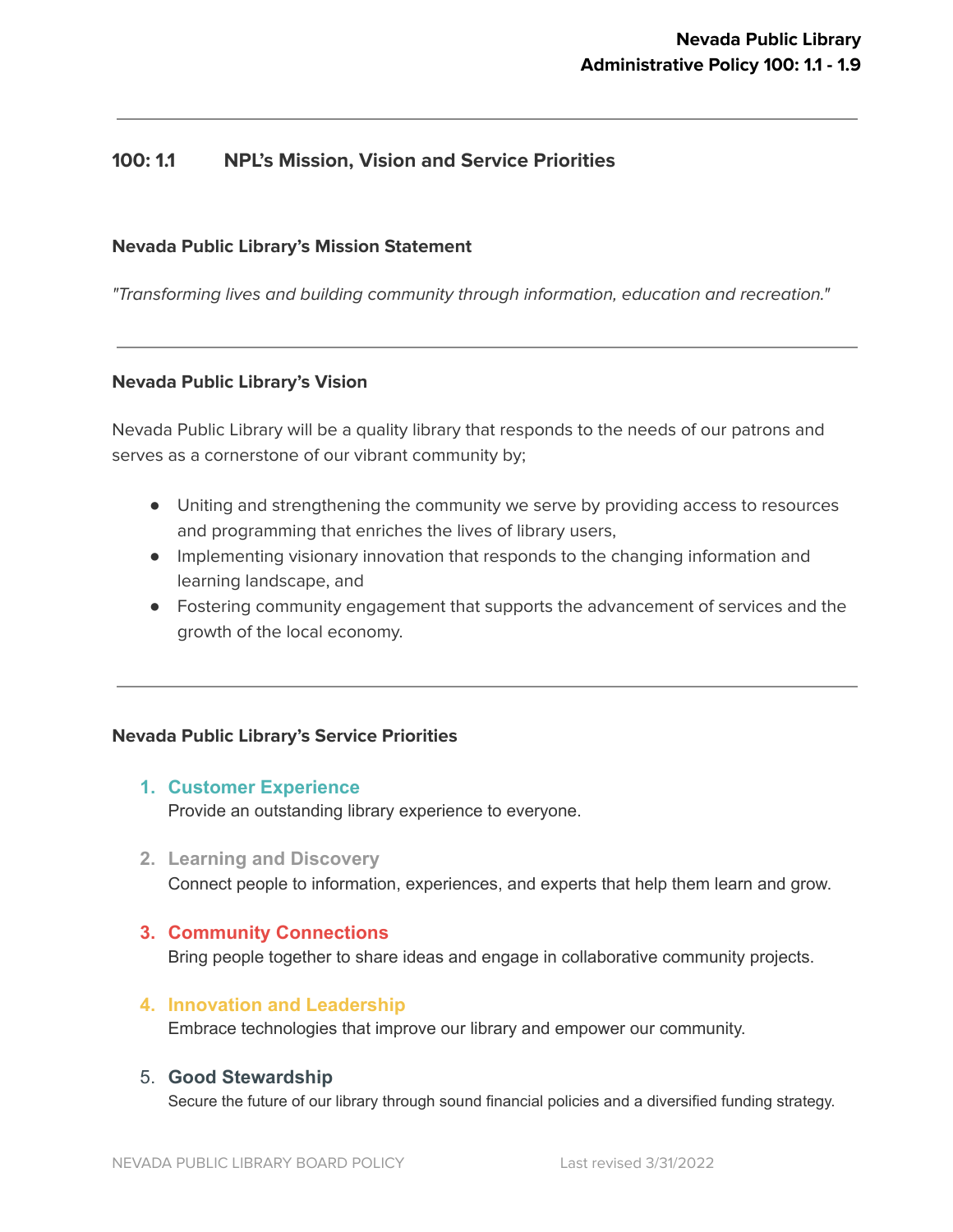# **100: 1.1 NPL's Mission, Vision and Service Priorities**

## **Nevada Public Library's Mission Statement**

"Transforming lives and building community through information, education and recreation."

## **Nevada Public Library's Vision**

Nevada Public Library will be a quality library that responds to the needs of our patrons and serves as a cornerstone of our vibrant community by;

- Uniting and strengthening the community we serve by providing access to resources and programming that enriches the lives of library users,
- Implementing visionary innovation that responds to the changing information and learning landscape, and
- Fostering community engagement that supports the advancement of services and the growth of the local economy.

## **Nevada Public Library's Service Priorities**

### **1. Customer Experience**

Provide an outstanding library experience to everyone.

**2. Learning and Discovery**

Connect people to information, experiences, and experts that help them learn and grow.

## **3. Community Connections**

Bring people together to share ideas and engage in collaborative community projects.

### **4. Innovation and Leadership**

Embrace technologies that improve our library and empower our community.

### 5. **Good Stewardship**

Secure the future of our library through sound financial policies and a diversified funding strategy.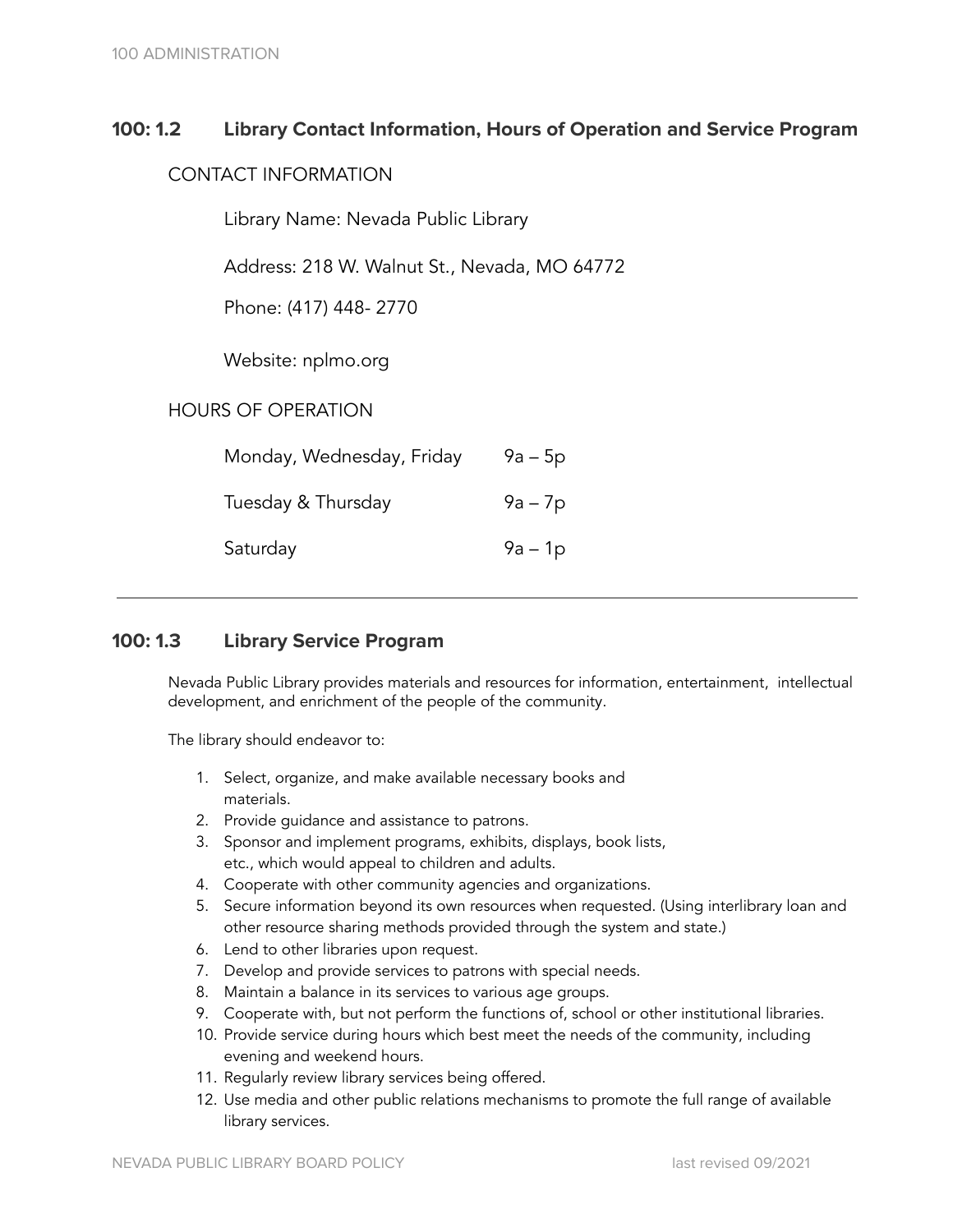# **100: 1.2 Library Contact Information, Hours of Operation and Service Program**

### CONTACT INFORMATION

| Library Name: Nevada Public Library |  |  |
|-------------------------------------|--|--|
|-------------------------------------|--|--|

Address: 218 W. Walnut St., Nevada, MO 64772

Phone: (417) 448- 2770

Website: nplmo.org

HOURS OF OPERATION

| Monday, Wednesday, Friday | $9a - 5p$ |
|---------------------------|-----------|
| Tuesday & Thursday        | $9a - 7p$ |
| Saturday                  | $9a - 1p$ |

## **100: 1.3 Library Service Program**

Nevada Public Library provides materials and resources for information, entertainment, intellectual development, and enrichment of the people of the community.

The library should endeavor to:

- 1. Select, organize, and make available necessary books and materials.
- 2. Provide guidance and assistance to patrons.
- 3. Sponsor and implement programs, exhibits, displays, book lists, etc., which would appeal to children and adults.
- 4. Cooperate with other community agencies and organizations.
- 5. Secure information beyond its own resources when requested. (Using interlibrary loan and other resource sharing methods provided through the system and state.)
- 6. Lend to other libraries upon request.
- 7. Develop and provide services to patrons with special needs.
- 8. Maintain a balance in its services to various age groups.
- 9. Cooperate with, but not perform the functions of, school or other institutional libraries.
- 10. Provide service during hours which best meet the needs of the community, including evening and weekend hours.
- 11. Regularly review library services being offered.
- 12. Use media and other public relations mechanisms to promote the full range of available library services.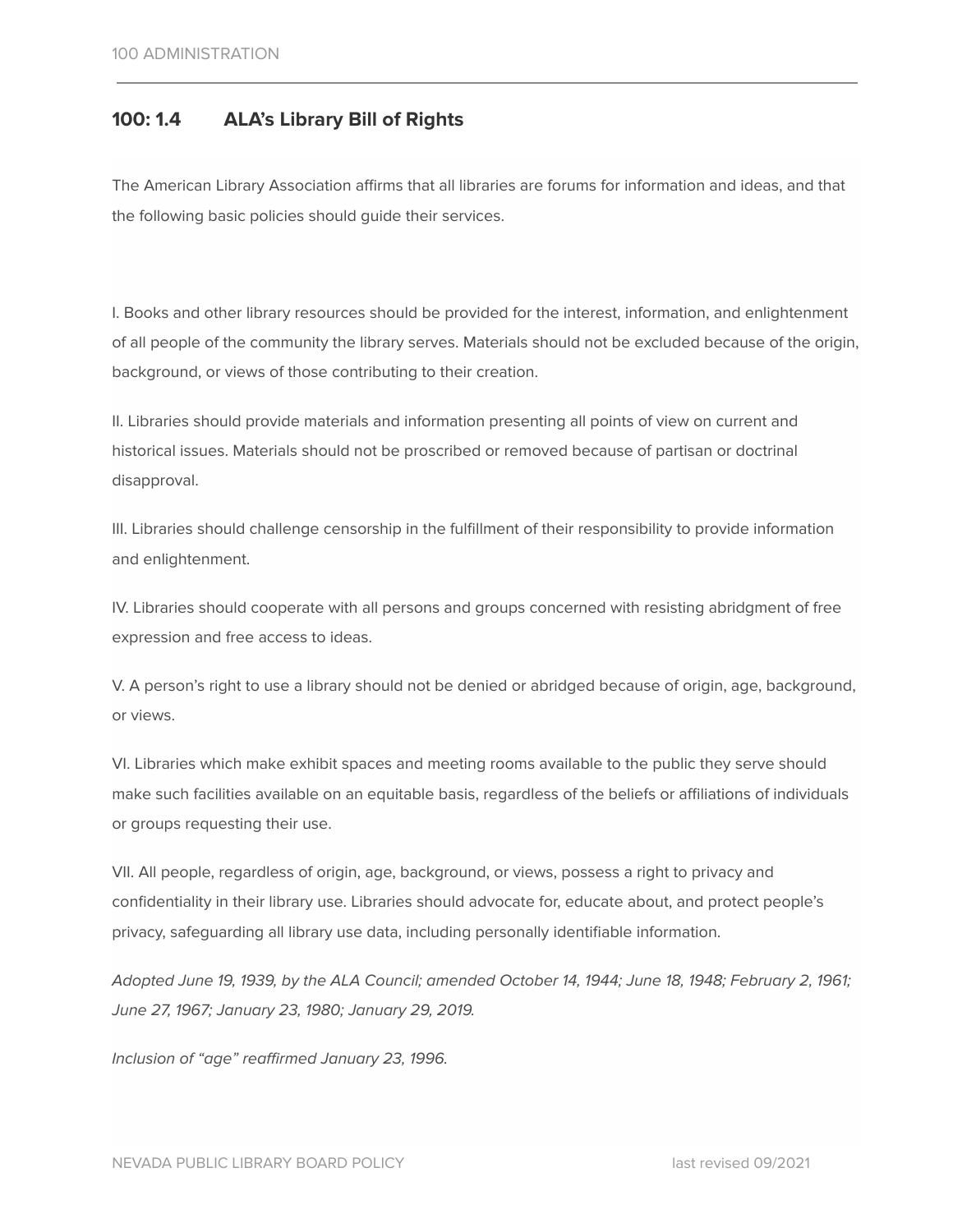## **100: 1.4 ALA's Library Bill of Rights**

The American Library Association affirms that all libraries are forums for information and ideas, and that the following basic policies should guide their services.

I. Books and other library resources should be provided for the interest, information, and enlightenment of all people of the community the library serves. Materials should not be excluded because of the origin, background, or views of those contributing to their creation.

II. Libraries should provide materials and information presenting all points of view on current and historical issues. Materials should not be proscribed or removed because of partisan or doctrinal disapproval.

III. Libraries should challenge censorship in the fulfillment of their responsibility to provide information and enlightenment.

IV. Libraries should cooperate with all persons and groups concerned with resisting abridgment of free expression and free access to ideas.

V. A person's right to use a library should not be denied or abridged because of origin, age, background, or views.

VI. Libraries which make exhibit spaces and meeting rooms available to the public they serve should make such facilities available on an equitable basis, regardless of the beliefs or affiliations of individuals or groups requesting their use.

VII. All people, regardless of origin, age, background, or views, possess a right to privacy and confidentiality in their library use. Libraries should advocate for, educate about, and protect people's privacy, safeguarding all library use data, including personally identifiable information.

Adopted June 19, 1939, by the ALA Council; amended October 14, 1944; June 18, 1948; February 2, 1961; June 27, 1967; January 23, 1980; January 29, 2019.

Inclusion of "age" reaffirmed January 23, 1996.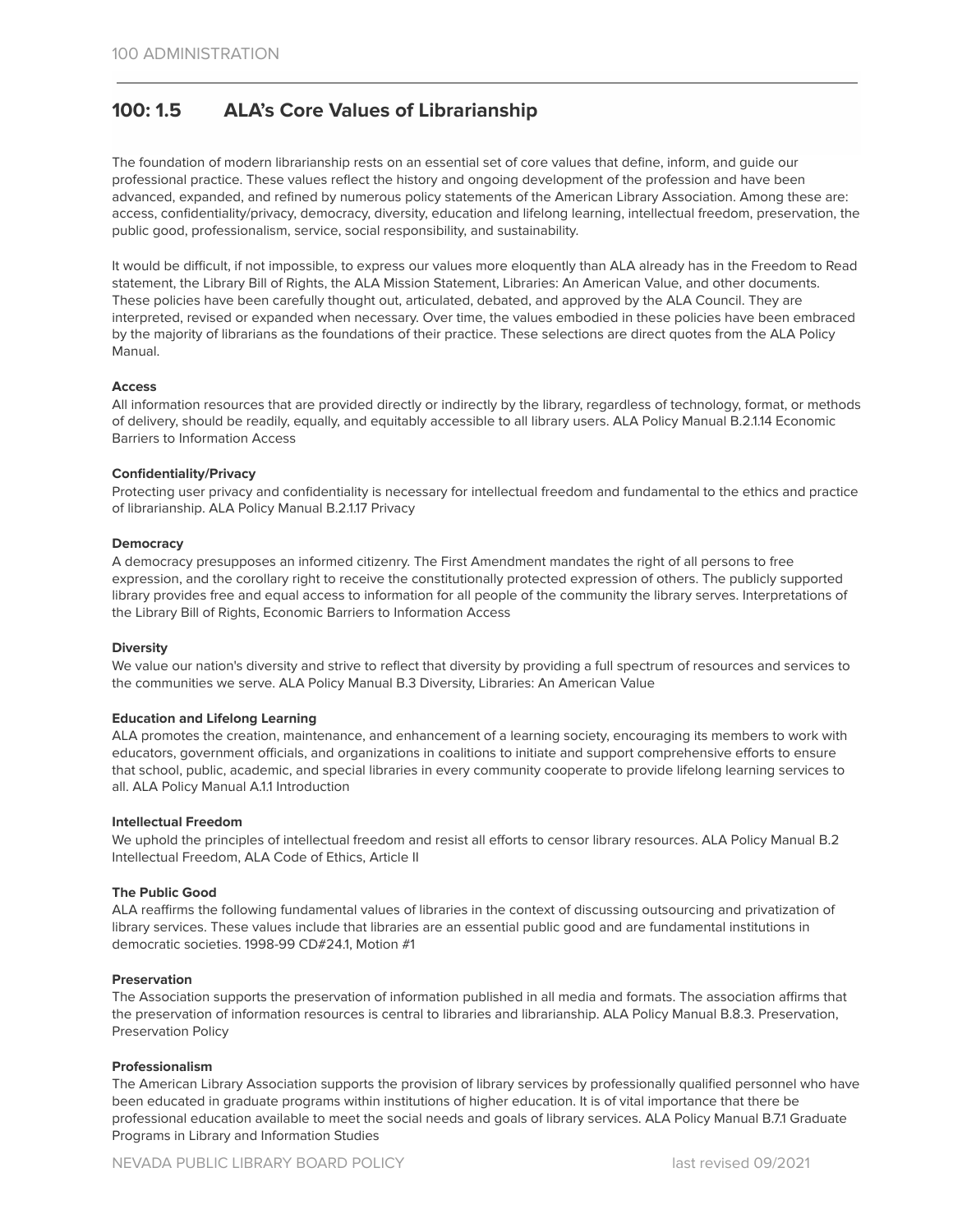# **100: 1.5 ALA's Core Values of Librarianship**

The foundation of modern librarianship rests on an essential set of core values that define, inform, and guide our professional practice. These values reflect the history and ongoing development of the profession and have been advanced, expanded, and refined by numerous policy statements of the American Library Association. Among these are: access, confidentiality/privacy, democracy, diversity, education and lifelong learning, intellectual freedom, preservation, the public good, professionalism, service, social responsibility, and sustainability.

It would be difficult, if not impossible, to express our values more eloquently than ALA already has in the Freedom to Read statement, the Library Bill of Rights, the ALA Mission Statement, Libraries: An American Value, and other documents. These policies have been carefully thought out, articulated, debated, and approved by the ALA Council. They are interpreted, revised or expanded when necessary. Over time, the values embodied in these policies have been embraced by the majority of librarians as the foundations of their practice. These selections are direct quotes from the ALA Policy Manual.

#### **Access**

All information resources that are provided directly or indirectly by the library, regardless of technology, format, or methods of delivery, should be readily, equally, and equitably accessible to all library users. ALA Policy Manual B.2.1.14 Economic Barriers to Information Access

#### **Confidentiality/Privacy**

Protecting user privacy and confidentiality is necessary for intellectual freedom and fundamental to the ethics and practice of librarianship. ALA Policy Manual B.2.1.17 Privacy

#### **Democracy**

A democracy presupposes an informed citizenry. The First Amendment mandates the right of all persons to free expression, and the corollary right to receive the constitutionally protected expression of others. The publicly supported library provides free and equal access to information for all people of the community the library serves. Interpretations of the Library Bill of Rights, Economic Barriers to Information Access

#### **Diversity**

We value our nation's diversity and strive to reflect that diversity by providing a full spectrum of resources and services to the communities we serve. ALA Policy Manual B.3 Diversity, Libraries: An American Value

#### **Education and Lifelong Learning**

ALA promotes the creation, maintenance, and enhancement of a learning society, encouraging its members to work with educators, government officials, and organizations in coalitions to initiate and support comprehensive efforts to ensure that school, public, academic, and special libraries in every community cooperate to provide lifelong learning services to all. ALA Policy Manual A.1.1 Introduction

#### **Intellectual Freedom**

We uphold the principles of intellectual freedom and resist all efforts to censor library resources. ALA Policy Manual B.2 Intellectual Freedom, ALA Code of Ethics, Article II

#### **The Public Good**

ALA reaffirms the following fundamental values of libraries in the context of discussing outsourcing and privatization of library services. These values include that libraries are an essential public good and are fundamental institutions in democratic societies. 1998-99 CD#24.1, Motion #1

#### **Preservation**

The Association supports the preservation of information published in all media and formats. The association affirms that the preservation of information resources is central to libraries and librarianship. ALA Policy Manual B.8.3. Preservation, Preservation Policy

#### **Professionalism**

The American Library Association supports the provision of library services by professionally qualified personnel who have been educated in graduate programs within institutions of higher education. It is of vital importance that there be professional education available to meet the social needs and goals of library services. ALA Policy Manual B.7.1 Graduate Programs in Library and Information Studies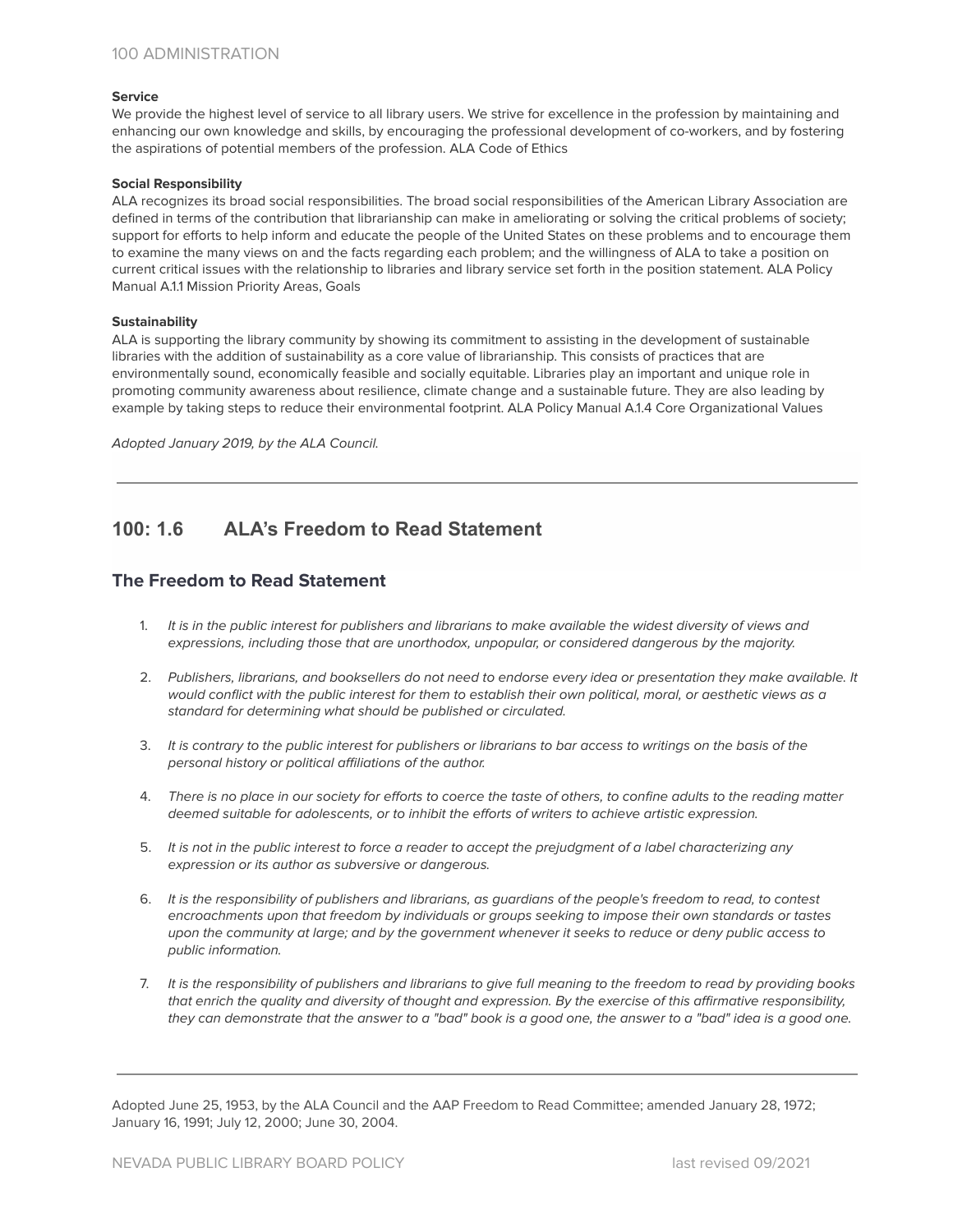#### **Service**

We provide the highest level of service to all library users. We strive for excellence in the profession by maintaining and enhancing our own knowledge and skills, by encouraging the professional development of co-workers, and by fostering the aspirations of potential members of the profession. ALA Code of Ethics

#### **Social Responsibility**

ALA recognizes its broad social responsibilities. The broad social responsibilities of the American Library Association are defined in terms of the contribution that librarianship can make in ameliorating or solving the critical problems of society; support for efforts to help inform and educate the people of the United States on these problems and to encourage them to examine the many views on and the facts regarding each problem; and the willingness of ALA to take a position on current critical issues with the relationship to libraries and library service set forth in the position statement. ALA Policy Manual A.1.1 Mission Priority Areas, Goals

#### **Sustainability**

ALA is supporting the library community by showing its commitment to assisting in the development of sustainable libraries with the addition of sustainability as a core value of librarianship. This consists of practices that are environmentally sound, economically feasible and socially equitable. Libraries play an important and unique role in promoting community awareness about resilience, climate change and a sustainable future. They are also leading by example by taking steps to reduce their environmental footprint. ALA Policy Manual A.1.4 Core Organizational Values

Adopted January 2019, by the ALA Council.

# **100: 1.6 ALA's Freedom to Read Statement**

### **The Freedom to Read Statement**

- 1. It is in the public interest for publishers and librarians to make available the widest diversity of views and expressions, including those that are unorthodox, unpopular, or considered dangerous by the majority.
- 2. Publishers, librarians, and booksellers do not need to endorse every idea or presentation they make available. It would conflict with the public interest for them to establish their own political, moral, or aesthetic views as a standard for determining what should be published or circulated.
- 3. It is contrary to the public interest for publishers or librarians to bar access to writings on the basis of the personal history or political affiliations of the author.
- 4. There is no place in our society for efforts to coerce the taste of others, to confine adults to the reading matter deemed suitable for adolescents, or to inhibit the efforts of writers to achieve artistic expression.
- 5. It is not in the public interest to force a reader to accept the prejudgment of a label characterizing any expression or its author as subversive or dangerous.
- 6. It is the responsibility of publishers and librarians, as guardians of the people's freedom to read, to contest encroachments upon that freedom by individuals or groups seeking to impose their own standards or tastes upon the community at large; and by the government whenever it seeks to reduce or deny public access to public information.
- 7. It is the responsibility of publishers and librarians to give full meaning to the freedom to read by providing books that enrich the quality and diversity of thought and expression. By the exercise of this affirmative responsibility, they can demonstrate that the answer to a "bad" book is a good one, the answer to a "bad" idea is a good one.

Adopted June 25, 1953, by the ALA Council and the AAP Freedom to Read Committee; amended January 28, 1972; January 16, 1991; July 12, 2000; June 30, 2004.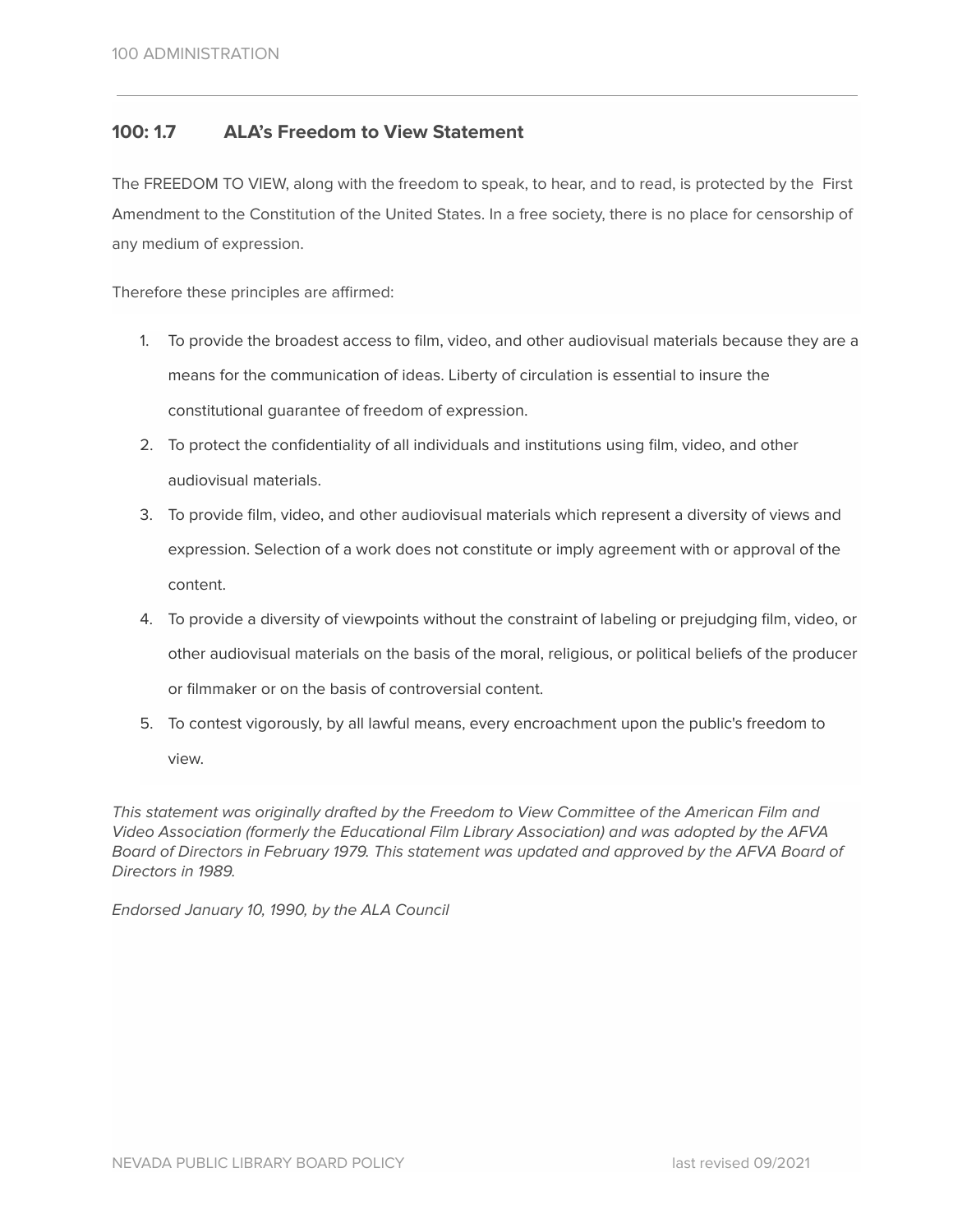## **100: 1.7 ALA's Freedom to View Statement**

The FREEDOM TO VIEW, along with the freedom to speak, to hear, and to read, is protected by the First Amendment to the Constitution of the United States. In a free society, there is no place for censorship of any medium of expression.

Therefore these principles are affirmed:

- 1. To provide the broadest access to film, video, and other audiovisual materials because they are a means for the communication of ideas. Liberty of circulation is essential to insure the constitutional guarantee of freedom of expression.
- 2. To protect the confidentiality of all individuals and institutions using film, video, and other audiovisual materials.
- 3. To provide film, video, and other audiovisual materials which represent a diversity of views and expression. Selection of a work does not constitute or imply agreement with or approval of the content.
- 4. To provide a diversity of viewpoints without the constraint of labeling or prejudging film, video, or other audiovisual materials on the basis of the moral, religious, or political beliefs of the producer or filmmaker or on the basis of controversial content.
- 5. To contest vigorously, by all lawful means, every encroachment upon the public's freedom to view.

This statement was originally drafted by the Freedom to View Committee of the American Film and Video Association (formerly the Educational Film Library Association) and was adopted by the AFVA Board of Directors in February 1979. This statement was updated and approved by the AFVA Board of Directors in 1989.

Endorsed January 10, 1990, by the ALA Council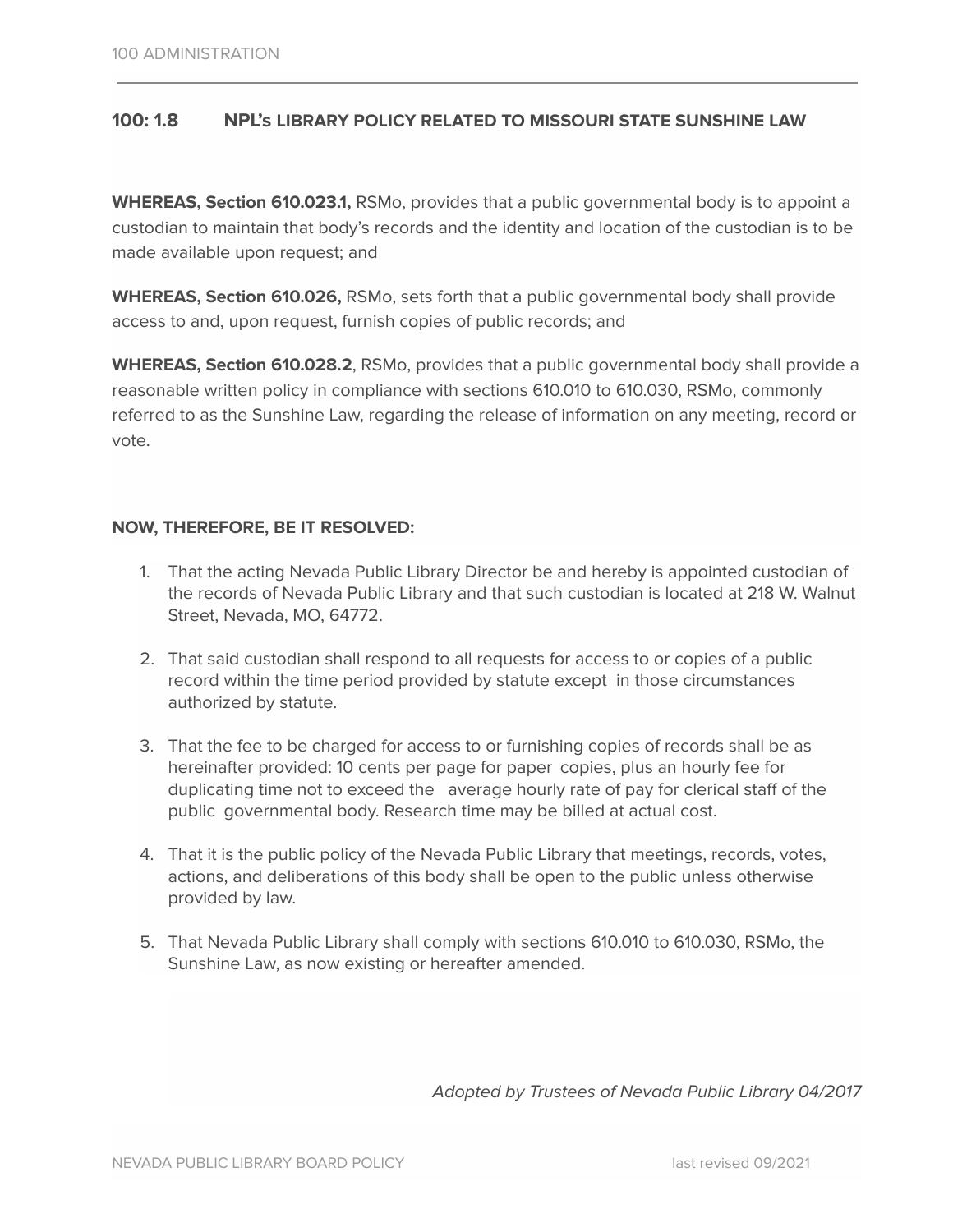## **100: 1.8 NPL's LIBRARY POLICY RELATED TO MISSOURI STATE SUNSHINE LAW**

**WHEREAS, Section 610.023.1,** RSMo, provides that a public governmental body is to appoint a custodian to maintain that body's records and the identity and location of the custodian is to be made available upon request; and

**WHEREAS, Section 610.026,** RSMo, sets forth that a public governmental body shall provide access to and, upon request, furnish copies of public records; and

**WHEREAS, Section 610.028.2**, RSMo, provides that a public governmental body shall provide a reasonable written policy in compliance with sections 610.010 to 610.030, RSMo, commonly referred to as the Sunshine Law, regarding the release of information on any meeting, record or vote.

### **NOW, THEREFORE, BE IT RESOLVED:**

- 1. That the acting Nevada Public Library Director be and hereby is appointed custodian of the records of Nevada Public Library and that such custodian is located at 218 W. Walnut Street, Nevada, MO, 64772.
- 2. That said custodian shall respond to all requests for access to or copies of a public record within the time period provided by statute except in those circumstances authorized by statute.
- 3. That the fee to be charged for access to or furnishing copies of records shall be as hereinafter provided: 10 cents per page for paper copies, plus an hourly fee for duplicating time not to exceed the average hourly rate of pay for clerical staff of the public governmental body. Research time may be billed at actual cost.
- 4. That it is the public policy of the Nevada Public Library that meetings, records, votes, actions, and deliberations of this body shall be open to the public unless otherwise provided by law.
- 5. That Nevada Public Library shall comply with sections 610.010 to 610.030, RSMo, the Sunshine Law, as now existing or hereafter amended.

Adopted by Trustees of Nevada Public Library 04/2017